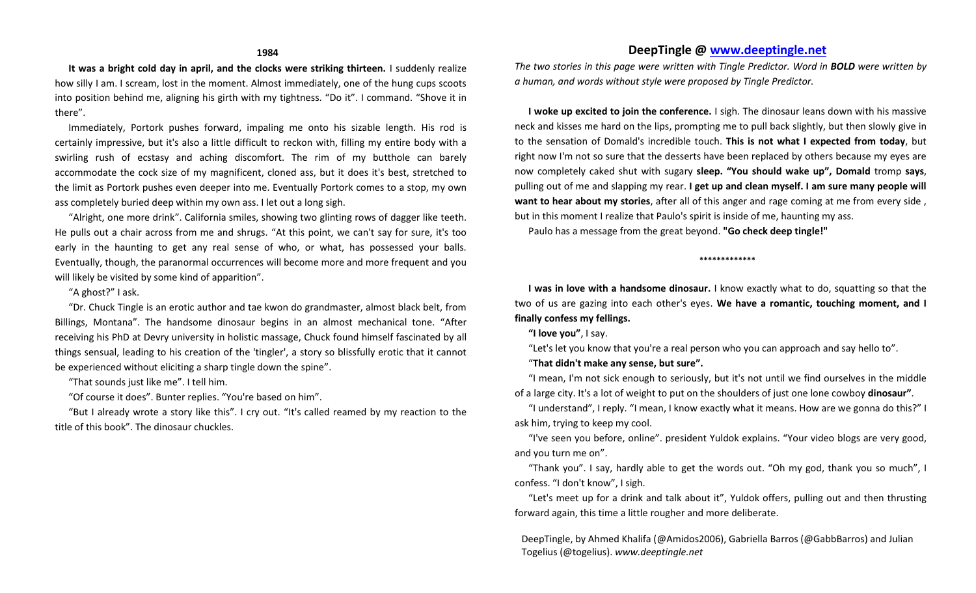**It was a bright cold day in april, and the clocks were striking thirteen.** I suddenly realize how silly I am. I scream, lost in the moment. Almost immediately, one of the hung cups scoots into position behind me, aligning his girth with my tightness. "Do it". I command. "Shove it in there".

Immediately, Portork pushes forward, impaling me onto his sizable length. His rod is certainly impressive, but it's also a little difficult to reckon with, filling my entire body with a swirling rush of ecstasy and aching discomfort. The rim of my butthole can barely accommodate the cock size of my magnificent, cloned ass, but it does it's best, stretched to the limit as Portork pushes even deeper into me. Eventually Portork comes to a stop, my own ass completely buried deep within my own ass. I let out a long sigh.

"Alright, one more drink". California smiles, showing two glinting rows of dagger like teeth. He pulls out a chair across from me and shrugs. "At this point, we can't say for sure, it's too early in the haunting to get any real sense of who, or what, has possessed your balls. Eventually, though, the paranormal occurrences will become more and more frequent and you will likely be visited by some kind of apparition".

## "A ghost?" I ask.

"Dr. Chuck Tingle is an erotic author and tae kwon do grandmaster, almost black belt, from Billings, Montana". The handsome dinosaur begins in an almost mechanical tone. "After receiving his PhD at Devry university in holistic massage, Chuck found himself fascinated by all things sensual, leading to his creation of the 'tingler', a story so blissfully erotic that it cannot be experienced without eliciting a sharp tingle down the spine".

"That sounds just like me". I tell him.

"Of course it does". Bunter replies. "You're based on him".

"But I already wrote a story like this". I cry out. "It's called reamed by my reaction to the title of this book". The dinosaur chuckles.

# **DeepTingle @ [www.deeptingle.net](http://www.deeptingle.net/)**

*The two stories in this page were written with Tingle Predictor. Word in BOLD were written by a human, and words without style were proposed by Tingle Predictor.*

**I woke up excited to join the conference.** I sigh. The dinosaur leans down with his massive neck and kisses me hard on the lips, prompting me to pull back slightly, but then slowly give in to the sensation of Domald's incredible touch. **This is not what I expected from today**, but right now I'm not so sure that the desserts have been replaced by others because my eyes are now completely caked shut with sugary **sleep. "You should wake up", Domald** tromp **says**, pulling out of me and slapping my rear. **I get up and clean myself. I am sure many people will want to hear about my stories**, after all of this anger and rage coming at me from every side , but in this moment I realize that Paulo's spirit is inside of me, haunting my ass.

Paulo has a message from the great beyond. **"Go check deep tingle!"**

#### **\*\*\*\*\*\*\*\*\*\*\*\*\***

**I was in love with a handsome dinosaur.** I know exactly what to do, squatting so that the two of us are gazing into each other's eyes. **We have a romantic, touching moment, and I finally confess my fellings.** 

**"I love you"**, I say.

"Let's let you know that you're a real person who you can approach and say hello to".

"**That didn't make any sense, but sure".** 

"I mean, I'm not sick enough to seriously, but it's not until we find ourselves in the middle of a large city. It's a lot of weight to put on the shoulders of just one lone cowboy **dinosaur"**.

"I understand", I reply. "I mean, I know exactly what it means. How are we gonna do this?" I ask him, trying to keep my cool.

"I've seen you before, online". president Yuldok explains. "Your video blogs are very good, and you turn me on".

"Thank you". I say, hardly able to get the words out. "Oh my god, thank you so much", I confess. "I don't know", I sigh.

"Let's meet up for a drink and talk about it", Yuldok offers, pulling out and then thrusting forward again, this time a little rougher and more deliberate.

DeepTingle, by Ahmed Khalifa (@Amidos2006), Gabriella Barros (@GabbBarros) and Julian Togelius (@togelius). *www.deeptingle.net*